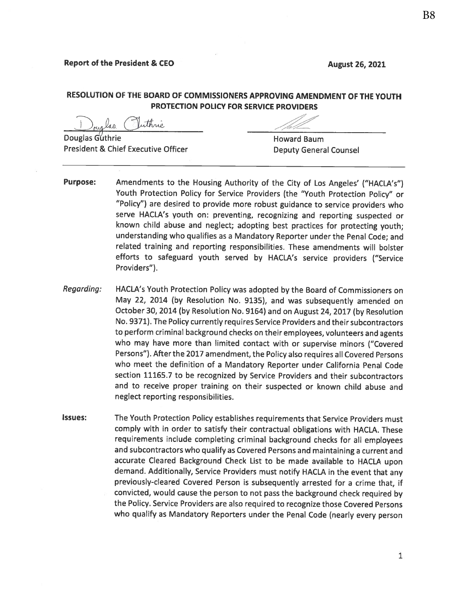**August 26, 2021** 

# RESOLUTION OF THE BOARD OF COMMISSIONERS APPROVING AMENDMENT OF THE YOUTH **PROTECTION POLICY FOR SERVICE PROVIDERS**

 $\mu$ aa (

President & Chief Executive Officer

**Howard Baum Deputy General Counsel** 

- **Purpose:** Amendments to the Housing Authority of the City of Los Angeles' ("HACLA's") Youth Protection Policy for Service Providers (the "Youth Protection Policy" or "Policy") are desired to provide more robust guidance to service providers who serve HACLA's youth on: preventing, recognizing and reporting suspected or known child abuse and neglect; adopting best practices for protecting youth; understanding who qualifies as a Mandatory Reporter under the Penal Code; and related training and reporting responsibilities. These amendments will bolster efforts to safeguard youth served by HACLA's service providers ("Service Providers").
- HACLA's Youth Protection Policy was adopted by the Board of Commissioners on Regarding: May 22, 2014 (by Resolution No. 9135), and was subsequently amended on October 30, 2014 (by Resolution No. 9164) and on August 24, 2017 (by Resolution No. 9371). The Policy currently requires Service Providers and their subcontractors to perform criminal background checks on their employees, volunteers and agents who may have more than limited contact with or supervise minors ("Covered Persons"). After the 2017 amendment, the Policy also requires all Covered Persons who meet the definition of a Mandatory Reporter under California Penal Code section 11165.7 to be recognized by Service Providers and their subcontractors and to receive proper training on their suspected or known child abuse and neglect reporting responsibilities.
- **Issues:** The Youth Protection Policy establishes requirements that Service Providers must comply with in order to satisfy their contractual obligations with HACLA. These requirements include completing criminal background checks for all employees and subcontractors who qualify as Covered Persons and maintaining a current and accurate Cleared Background Check List to be made available to HACLA upon demand. Additionally, Service Providers must notify HACLA in the event that any previously-cleared Covered Person is subsequently arrested for a crime that, if convicted, would cause the person to not pass the background check required by the Policy. Service Providers are also required to recognize those Covered Persons who qualify as Mandatory Reporters under the Penal Code (nearly every person

1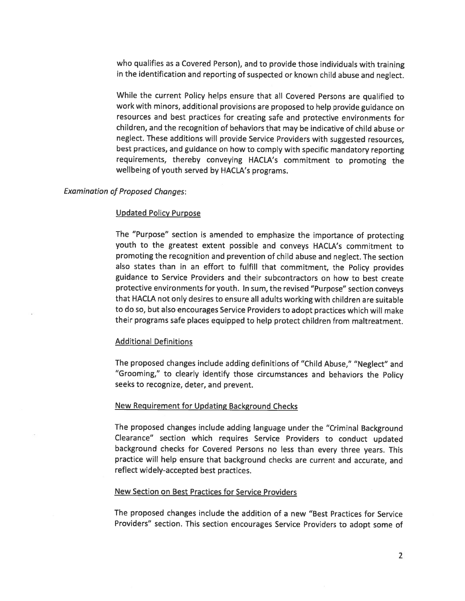who qualifies as a Covered Person), and to provide those individuals with training in the identification and reporting of suspected or known child abuse and neglect.

While the current Policy helps ensure that all Covered Persons are qualified to work with minors, additional provisions are proposed to help provide guidance on resources and best practices for creating safe and protective environments for children, and the recognition of behaviors that may be indicative of child abuse or neglect. These additions will provide Service Providers with suggested resources. best practices, and guidance on how to comply with specific mandatory reporting requirements, thereby conveying HACLA's commitment to promoting the wellbeing of youth served by HACLA's programs.

### **Examination of Proposed Changes:**

### **Updated Policy Purpose**

The "Purpose" section is amended to emphasize the importance of protecting youth to the greatest extent possible and conveys HACLA's commitment to promoting the recognition and prevention of child abuse and neglect. The section also states than in an effort to fulfill that commitment, the Policy provides guidance to Service Providers and their subcontractors on how to best create protective environments for youth. In sum, the revised "Purpose" section conveys that HACLA not only desires to ensure all adults working with children are suitable to do so, but also encourages Service Providers to adopt practices which will make their programs safe places equipped to help protect children from maltreatment.

#### **Additional Definitions**

The proposed changes include adding definitions of "Child Abuse," "Neglect" and "Grooming," to clearly identify those circumstances and behaviors the Policy seeks to recognize, deter, and prevent.

### **New Requirement for Updating Background Checks**

The proposed changes include adding language under the "Criminal Background Clearance" section which requires Service Providers to conduct updated background checks for Covered Persons no less than every three years. This practice will help ensure that background checks are current and accurate, and reflect widely-accepted best practices.

#### **New Section on Best Practices for Service Providers**

The proposed changes include the addition of a new "Best Practices for Service Providers" section. This section encourages Service Providers to adopt some of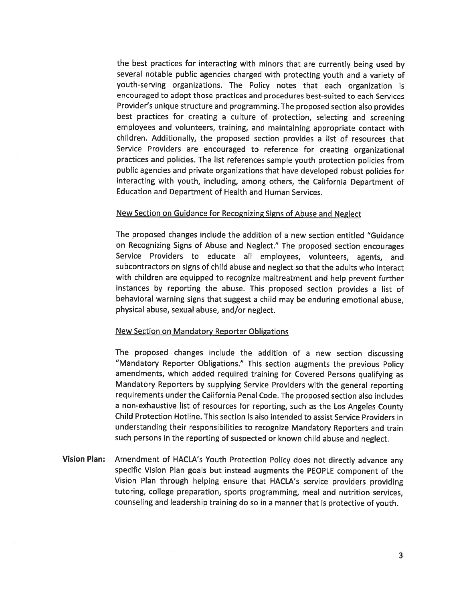the best practices for interacting with minors that are currently being used by several notable public agencies charged with protecting youth and a variety of youth-serving organizations. The Policy notes that each organization is encouraged to adopt those practices and procedures best-suited to each Services Provider's unique structure and programming. The proposed section also provides best practices for creating a culture of protection, selecting and screening employees and volunteers, training, and maintaining appropriate contact with children. Additionally, the proposed section provides a list of resources that Service Providers are encouraged to reference for creating organizational practices and policies. The list references sample youth protection policies from public agencies and private organizations that have developed robust policies for interacting with youth, including, among others, the California Department of **Education and Department of Health and Human Services.** 

#### New Section on Guidance for Recognizing Signs of Abuse and Neglect

The proposed changes include the addition of a new section entitled "Guidance" on Recognizing Signs of Abuse and Neglect." The proposed section encourages Service Providers to educate all employees, volunteers, agents, and subcontractors on signs of child abuse and neglect so that the adults who interact with children are equipped to recognize maltreatment and help prevent further instances by reporting the abuse. This proposed section provides a list of behavioral warning signs that suggest a child may be enduring emotional abuse, physical abuse, sexual abuse, and/or neglect.

#### **New Section on Mandatory Reporter Obligations**

The proposed changes include the addition of a new section discussing "Mandatory Reporter Obligations." This section augments the previous Policy amendments, which added required training for Covered Persons qualifying as Mandatory Reporters by supplying Service Providers with the general reporting requirements under the California Penal Code. The proposed section also includes a non-exhaustive list of resources for reporting, such as the Los Angeles County Child Protection Hotline. This section is also intended to assist Service Providers in understanding their responsibilities to recognize Mandatory Reporters and train such persons in the reporting of suspected or known child abuse and neglect.

**Vision Plan:** Amendment of HACLA's Youth Protection Policy does not directly advance any specific Vision Plan goals but instead augments the PEOPLE component of the Vision Plan through helping ensure that HACLA's service providers providing tutoring, college preparation, sports programming, meal and nutrition services, counseling and leadership training do so in a manner that is protective of youth.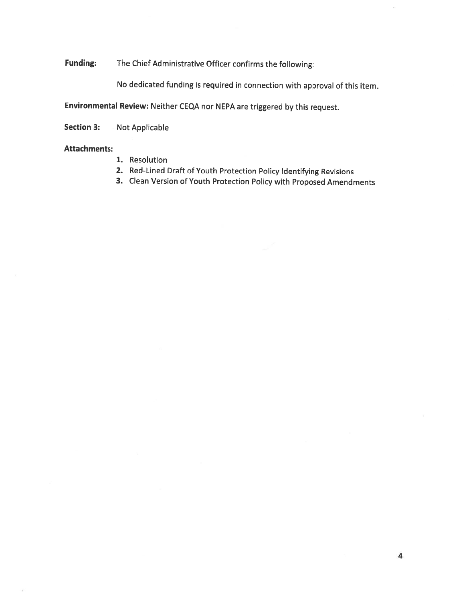**Funding:** The Chief Administrative Officer confirms the following:

No dedicated funding is required in connection with approval of this item.

Environmental Review: Neither CEQA nor NEPA are triggered by this request.

Not Applicable **Section 3:** 

### **Attachments:**

- 1. Resolution
- 2. Red-Lined Draft of Youth Protection Policy Identifying Revisions
- 3. Clean Version of Youth Protection Policy with Proposed Amendments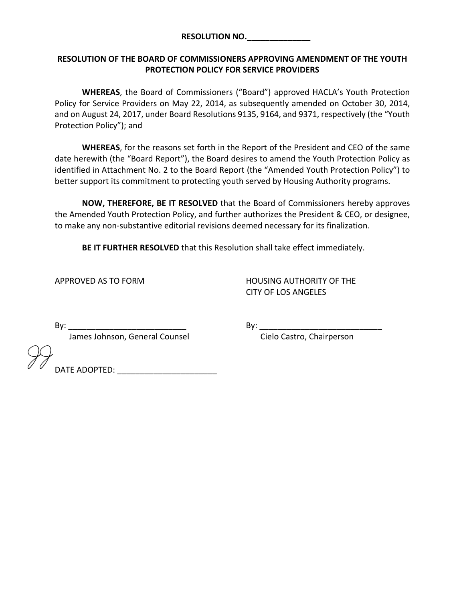### RESOLUTION NO.\_\_\_\_\_\_\_\_\_\_\_\_\_\_

## RESOLUTION OF THE BOARD OF COMMISSIONERS APPROVING AMENDMENT OF THE YOUTH PROTECTION POLICY FOR SERVICE PROVIDERS

WHEREAS, the Board of Commissioners ("Board") approved HACLA's Youth Protection Policy for Service Providers on May 22, 2014, as subsequently amended on October 30, 2014, and on August 24, 2017, under Board Resolutions 9135, 9164, and 9371, respectively (the "Youth Protection Policy"); and

WHEREAS, for the reasons set forth in the Report of the President and CEO of the same date herewith (the "Board Report"), the Board desires to amend the Youth Protection Policy as identified in Attachment No. 2 to the Board Report (the "Amended Youth Protection Policy") to better support its commitment to protecting youth served by Housing Authority programs.

NOW, THEREFORE, BE IT RESOLVED that the Board of Commissioners hereby approves the Amended Youth Protection Policy, and further authorizes the President & CEO, or designee, to make any non-substantive editorial revisions deemed necessary for its finalization.

BE IT FURTHER RESOLVED that this Resolution shall take effect immediately.

APPROVED AS TO FORM HOUSING AUTHORITY OF THE CITY OF LOS ANGELES

James Johnson, General Counsel **Connect Connect Cielo Castro**, Chairperson

By: \_\_\_\_\_\_\_\_\_\_\_\_\_\_\_\_\_\_\_\_\_\_\_\_\_\_ By: \_\_\_\_\_\_\_\_\_\_\_\_\_\_\_\_\_\_\_\_\_\_\_\_\_\_\_

DATE ADOPTED: \_\_\_\_\_\_\_\_\_\_\_\_\_\_\_\_\_\_\_\_\_\_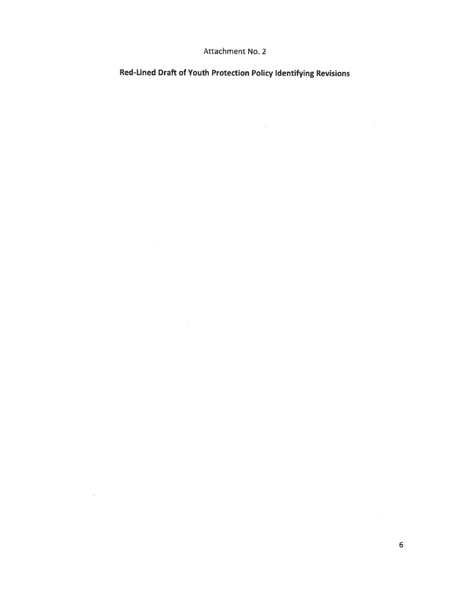## Attachment No. 2

Red-Lined Draft of Youth Protection Policy Identifying Revisions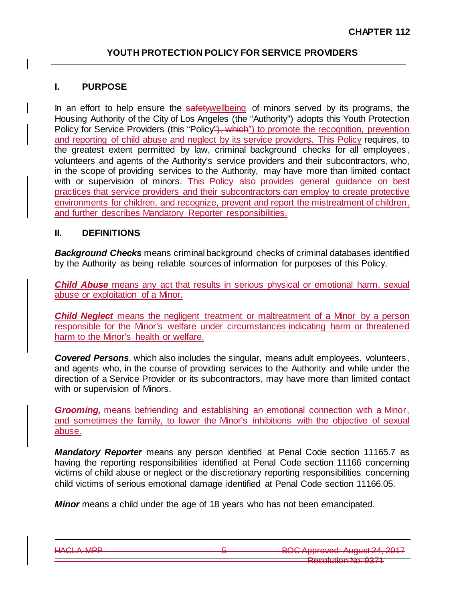## **I. PURPOSE**

In an effort to help ensure the safetywellbeing of minors served by its programs, the Housing Authority of the City of Los Angeles (the "Authority") adopts this Youth Protection Policy for Service Providers (this "Policy"), which") to promote the recognition, prevention and reporting of child abuse and neglect by its service providers. This Policy requires, to the greatest extent permitted by law, criminal background checks for all employees, volunteers and agents of the Authority's service providers and their subcontractors, who, in the scope of providing services to the Authority, may have more than limited contact with or supervision of minors. This Policy also provides general quidance on best practices that service providers and their subcontractors can employ to create protective environments for children, and recognize, prevent and report the mistreatment of children, and further describes Mandatory Reporter responsibilities.

### **II. DEFINITIONS**

*Background Checks* means criminal background checks of criminal databases identified by the Authority as being reliable sources of information for purposes of this Policy.

*Child Abuse* means any act that results in serious physical or emotional harm, sexual abuse or exploitation of a Minor.

*Child Neglect* means the negligent treatment or maltreatment of a Minor by a person responsible for the Minor's welfare under circumstances indicating harm or threatened harm to the Minor's health or welfare.

*Covered Persons*, which also includes the singular, means adult employees, volunteers, and agents who, in the course of providing services to the Authority and while under the direction of a Service Provider or its subcontractors, may have more than limited contact with or supervision of Minors.

*Grooming,* means befriending and establishing an emotional connection with a Minor, and sometimes the family, to lower the Minor's inhibitions with the objective of sexual abuse.

*Mandatory Reporter* means any person identified at Penal Code section 11165.7 as having the reporting responsibilities identified at Penal Code section 11166 concerning victims of child abuse or neglect or the discretionary reporting responsibilities concerning child victims of serious emotional damage identified at Penal Code section 11166.05.

*Minor* means a child under the age of 18 years who has not been emancipated.

HACLA-MPP 6 BOC Approved: August 24, 2017 Resolution No. 9371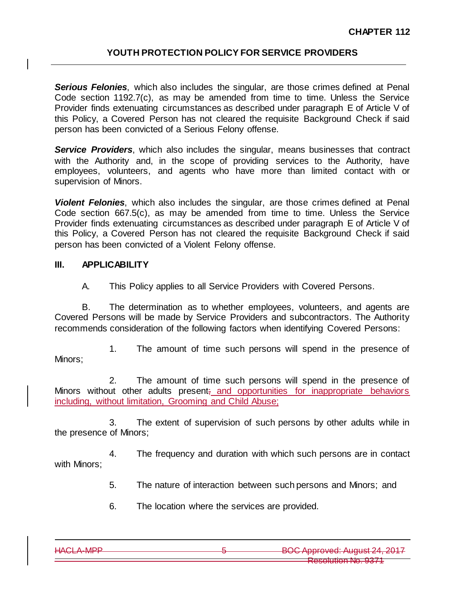**Serious Felonies**, which also includes the singular, are those crimes defined at Penal Code section 1192.7(c), as may be amended from time to time. Unless the Service Provider finds extenuating circumstances as described under paragraph E of Article V of this Policy, a Covered Person has not cleared the requisite Background Check if said person has been convicted of a Serious Felony offense.

*Service Providers*, which also includes the singular, means businesses that contract with the Authority and, in the scope of providing services to the Authority, have employees, volunteers, and agents who have more than limited contact with or supervision of Minors.

*Violent Felonies*, which also includes the singular, are those crimes defined at Penal Code section 667.5(c), as may be amended from time to time. Unless the Service Provider finds extenuating circumstances as described under paragraph E of Article V of this Policy, a Covered Person has not cleared the requisite Background Check if said person has been convicted of a Violent Felony offense.

# **III. APPLICABILITY**

A. This Policy applies to all Service Providers with Covered Persons.

B. The determination as to whether employees, volunteers, and agents are Covered Persons will be made by Service Providers and subcontractors. The Authority recommends consideration of the following factors when identifying Covered Persons:

1. The amount of time such persons will spend in the presence of Minors;

2. The amount of time such persons will spend in the presence of Minors without other adults present; and opportunities for inappropriate behaviors including, without limitation, Grooming and Child Abuse;

3. The extent of supervision of such persons by other adults while in the presence of Minors;

4. The frequency and duration with which such persons are in contact with Minors;

5. The nature of interaction between such persons and Minors; and

6. The location where the services are provided.

| LIAOI A NOD     | ROC Approved: August 24, 2017          |
|-----------------|----------------------------------------|
| <b>TINGLAND</b> | $1.001$ pproved. Tuguot $2.1$ , $2011$ |
|                 | $\sim$ $\sim$ $\sim$ $\sim$            |
|                 | <b>DARAILITIAN NA UZIT</b>             |
|                 | <b>INVOURNIERD, VOIT</b>               |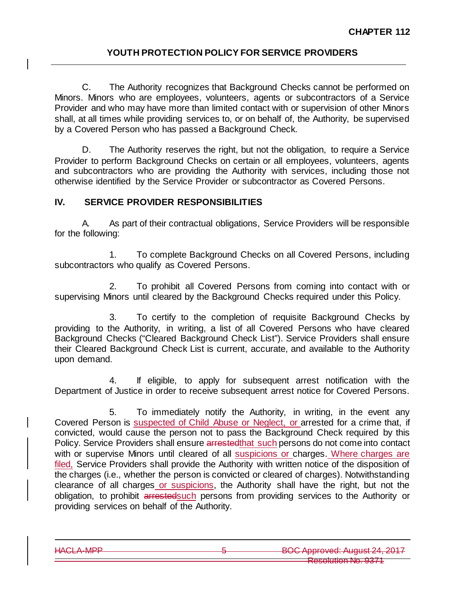C. The Authority recognizes that Background Checks cannot be performed on Minors. Minors who are employees, volunteers, agents or subcontractors of a Service Provider and who may have more than limited contact with or supervision of other Minors shall, at all times while providing services to, or on behalf of, the Authority, be supervised by a Covered Person who has passed a Background Check.

D. The Authority reserves the right, but not the obligation, to require a Service Provider to perform Background Checks on certain or all employees, volunteers, agents and subcontractors who are providing the Authority with services, including those not otherwise identified by the Service Provider or subcontractor as Covered Persons.

# **IV. SERVICE PROVIDER RESPONSIBILITIES**

A. As part of their contractual obligations, Service Providers will be responsible for the following:

1. To complete Background Checks on all Covered Persons, including subcontractors who qualify as Covered Persons.

2. To prohibit all Covered Persons from coming into contact with or supervising Minors until cleared by the Background Checks required under this Policy.

3. To certify to the completion of requisite Background Checks by providing to the Authority, in writing, a list of all Covered Persons who have cleared Background Checks ("Cleared Background Check List"). Service Providers shall ensure their Cleared Background Check List is current, accurate, and available to the Authority upon demand.

4. If eligible, to apply for subsequent arrest notification with the Department of Justice in order to receive subsequent arrest notice for Covered Persons.

5. To immediately notify the Authority, in writing, in the event any Covered Person is suspected of Child Abuse or Neglect, or arrested for a crime that, if convicted, would cause the person not to pass the Background Check required by this Policy. Service Providers shall ensure arrested that such persons do not come into contact with or supervise Minors until cleared of all suspicions or charges. Where charges are filed, Service Providers shall provide the Authority with written notice of the disposition of the charges (i.e., whether the person is convicted or cleared of charges). Notwithstanding clearance of all charges or suspicions, the Authority shall have the right, but not the obligation, to prohibit arrestedsuch persons from providing services to the Authority or providing services on behalf of the Authority.

HACLA-MPP 5 BOC Approved: August Resolution No. 9371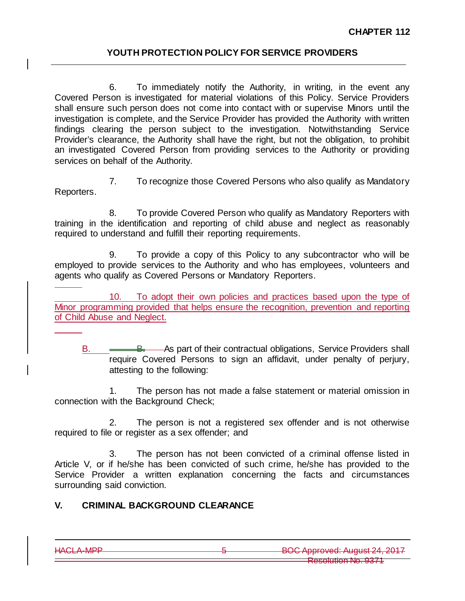6. To immediately notify the Authority, in writing, in the event any Covered Person is investigated for material violations of this Policy. Service Providers shall ensure such person does not come into contact with or supervise Minors until the investigation is complete, and the Service Provider has provided the Authority with written findings clearing the person subject to the investigation. Notwithstanding Service Provider's clearance, the Authority shall have the right, but not the obligation, to prohibit an investigated Covered Person from providing services to the Authority or providing services on behalf of the Authority.

7. To recognize those Covered Persons who also qualify as Mandatory Reporters.

8. To provide Covered Person who qualify as Mandatory Reporters with training in the identification and reporting of child abuse and neglect as reasonably required to understand and fulfill their reporting requirements.

9. To provide a copy of this Policy to any subcontractor who will be employed to provide services to the Authority and who has employees, volunteers and agents who qualify as Covered Persons or Mandatory Reporters.

10. To adopt their own policies and practices based upon the type of Minor programming provided that helps ensure the recognition, prevention and reporting of Child Abuse and Neglect.

B. <del>As Remarks B.</del> As part of their contractual obligations, Service Providers shall require Covered Persons to sign an affidavit, under penalty of perjury, attesting to the following:

1. The person has not made a false statement or material omission in connection with the Background Check;

2. The person is not a registered sex offender and is not otherwise required to file or register as a sex offender; and

3. The person has not been convicted of a criminal offense listed in Article V, or if he/she has been convicted of such crime, he/she has provided to the Service Provider a written explanation concerning the facts and circumstances surrounding said conviction.

# **V. CRIMINAL BACKGROUND CLEARANCE**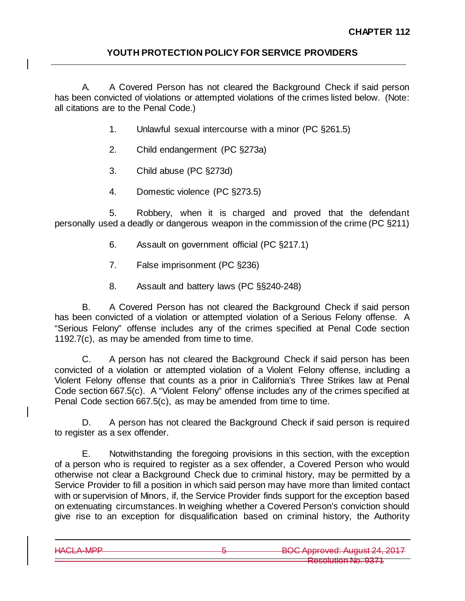A. A Covered Person has not cleared the Background Check if said person has been convicted of violations or attempted violations of the crimes listed below. (Note: all citations are to the Penal Code.)

- 1. Unlawful sexual intercourse with a minor (PC §261.5)
- 2. Child endangerment (PC §273a)
- 3. Child abuse (PC §273d)
- 4. Domestic violence (PC §273.5)

5. Robbery, when it is charged and proved that the defendant personally used a deadly or dangerous weapon in the commission of the crime (PC §211)

- 6. Assault on government official (PC §217.1)
- 7. False imprisonment (PC §236)
- 8. Assault and battery laws (PC §§240-248)

B. A Covered Person has not cleared the Background Check if said person has been convicted of a violation or attempted violation of a Serious Felony offense. A "Serious Felony" offense includes any of the crimes specified at Penal Code section 1192.7(c), as may be amended from time to time.

C. A person has not cleared the Background Check if said person has been convicted of a violation or attempted violation of a Violent Felony offense, including a Violent Felony offense that counts as a prior in California's Three Strikes law at Penal Code section 667.5(c). A "Violent Felony" offense includes any of the crimes specified at Penal Code section 667.5(c), as may be amended from time to time.

D. A person has not cleared the Background Check if said person is required to register as a sex offender.

E. Notwithstanding the foregoing provisions in this section, with the exception of a person who is required to register as a sex offender, a Covered Person who would otherwise not clear a Background Check due to criminal history, may be permitted by a Service Provider to fill a position in which said person may have more than limited contact with or supervision of Minors, if, the Service Provider finds support for the exception based on extenuating circumstances. In weighing whether a Covered Person's conviction should give rise to an exception for disqualification based on criminal history, the Authority

HACLA-MPP **6** BOC Approved: August Resolution No. 9371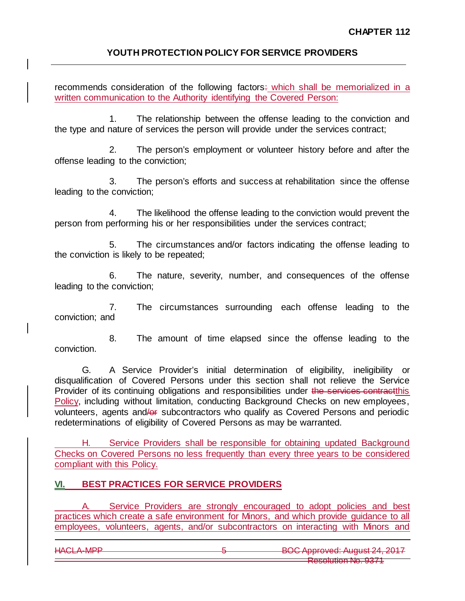recommends consideration of the following factors: which shall be memorialized in a written communication to the Authority identifying the Covered Person:

1. The relationship between the offense leading to the conviction and the type and nature of services the person will provide under the services contract;

2. The person's employment or volunteer history before and after the offense leading to the conviction;

3. The person's efforts and success at rehabilitation since the offense leading to the conviction;

4. The likelihood the offense leading to the conviction would prevent the person from performing his or her responsibilities under the services contract;

5. The circumstances and/or factors indicating the offense leading to the conviction is likely to be repeated;

6. The nature, severity, number, and consequences of the offense leading to the conviction;

7. The circumstances surrounding each offense leading to the conviction; and

8. The amount of time elapsed since the offense leading to the conviction.

G. A Service Provider's initial determination of eligibility, ineligibility or disqualification of Covered Persons under this section shall not relieve the Service Provider of its continuing obligations and responsibilities under the services contractibis Policy, including without limitation, conducting Background Checks on new employees, volunteers, agents and/or subcontractors who qualify as Covered Persons and periodic redeterminations of eligibility of Covered Persons as may be warranted.

H. Service Providers shall be responsible for obtaining updated Background Checks on Covered Persons no less frequently than every three years to be considered compliant with this Policy.

# **VI. BEST PRACTICES FOR SERVICE PROVIDERS**

A. Service Providers are strongly encouraged to adopt policies and best practices which create a safe environment for Minors, and which provide guidance to all employees, volunteers, agents, and/or subcontractors on interacting with Minors and

HACLA-MPP 6 BOC Approved: August 24, 2017 Resolution No. 93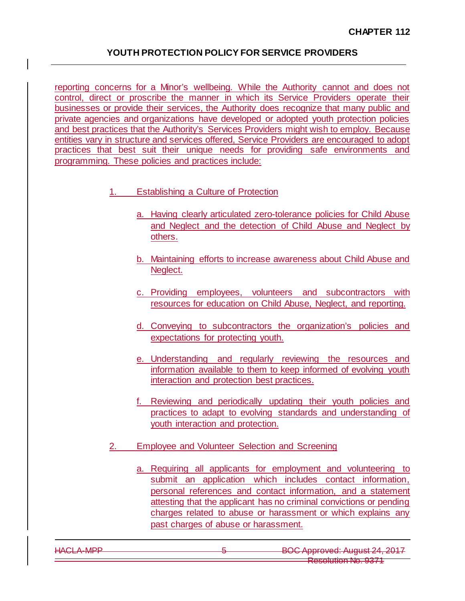reporting concerns for a Minor's wellbeing. While the Authority cannot and does not control, direct or proscribe the manner in which its Service Providers operate their businesses or provide their services, the Authority does recognize that many public and private agencies and organizations have developed or adopted youth protection policies and best practices that the Authority's Services Providers might wish to employ. Because entities vary in structure and services offered, Service Providers are encouraged to adopt practices that best suit their unique needs for providing safe environments and programming. These policies and practices include:

- 1. Establishing a Culture of Protection
	- a. Having clearly articulated zero-tolerance policies for Child Abuse and Neglect and the detection of Child Abuse and Neglect by others.
	- b. Maintaining efforts to increase awareness about Child Abuse and Neglect.
	- c. Providing employees, volunteers and subcontractors with resources for education on Child Abuse, Neglect, and reporting.
	- d. Conveying to subcontractors the organization's policies and expectations for protecting youth.
	- e. Understanding and regularly reviewing the resources and information available to them to keep informed of evolving youth interaction and protection best practices.
	- f. Reviewing and periodically updating their youth policies and practices to adapt to evolving standards and understanding of youth interaction and protection.
- 2. Employee and Volunteer Selection and Screening
	- a. Requiring all applicants for employment and volunteering to submit an application which includes contact information, personal references and contact information, and a statement attesting that the applicant has no criminal convictions or pending charges related to abuse or harassment or which explains any past charges of abuse or harassment.

| LIACI A MOD<br>TV WEAT WILL | ROC Approvad: August 24, 2017<br><del>POOT pprovou. August 27, 2017</del>         |
|-----------------------------|-----------------------------------------------------------------------------------|
|                             | $\sim$ $\sim$ $\sim$ $\sim$<br><b>DASAILINAD NA UZIT</b><br>11000010110111110.007 |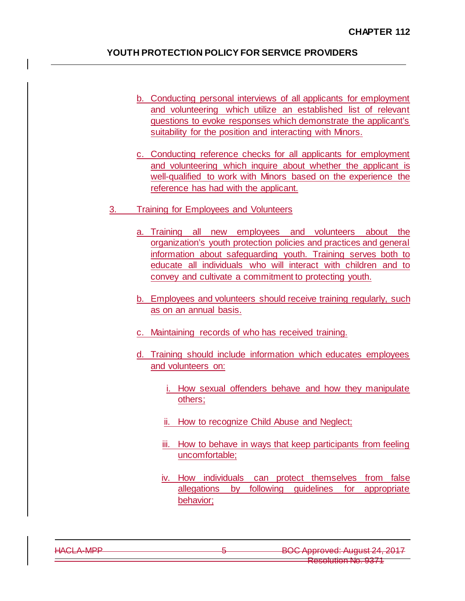- b. Conducting personal interviews of all applicants for employment and volunteering which utilize an established list of relevant questions to evoke responses which demonstrate the applicant's suitability for the position and interacting with Minors.
- c. Conducting reference checks for all applicants for employment and volunteering which inquire about whether the applicant is well-qualified to work with Minors based on the experience the reference has had with the applicant.
- 3. Training for Employees and Volunteers
	- a. Training all new employees and volunteers about the organization's youth protection policies and practices and general information about safeguarding youth. Training serves both to educate all individuals who will interact with children and to convey and cultivate a commitment to protecting youth.
	- b. Employees and volunteers should receive training regularly, such as on an annual basis.
	- c. Maintaining records of who has received training.
	- d. Training should include information which educates employees and volunteers on:
		- i. How sexual offenders behave and how they manipulate others;
		- ii. How to recognize Child Abuse and Neglect;
		- iii. How to behave in ways that keep participants from feeling uncomfortable;
		- iv. How individuals can protect themselves from false allegations by following guidelines for appropriate behavior;

|                   |  | $L A \cap I$ $A$ $A$ $D$ $D$ |
|-------------------|--|------------------------------|
|                   |  |                              |
| <b>TV WEATHER</b> |  |                              |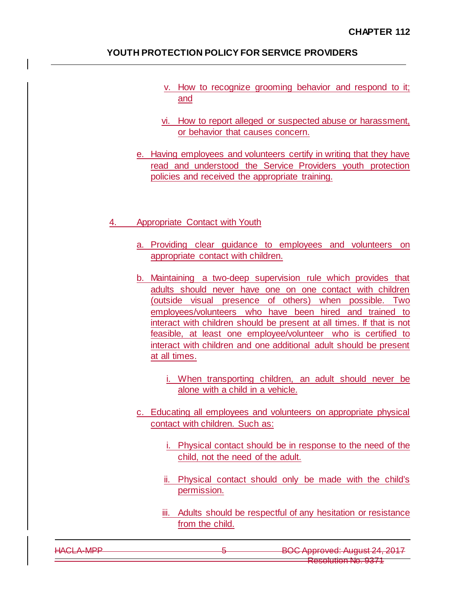- v. How to recognize grooming behavior and respond to it; and
- vi. How to report alleged or suspected abuse or harassment, or behavior that causes concern.
- e. Having employees and volunteers certify in writing that they have read and understood the Service Providers youth protection policies and received the appropriate training.

### 4. Appropriate Contact with Youth

- a. Providing clear guidance to employees and volunteers on appropriate contact with children.
- b. Maintaining a two-deep supervision rule which provides that adults should never have one on one contact with children (outside visual presence of others) when possible. Two employees/volunteers who have been hired and trained to interact with children should be present at all times. If that is not feasible, at least one employee/volunteer who is certified to interact with children and one additional adult should be present at all times.
	- i. When transporting children, an adult should never be alone with a child in a vehicle.
- c. Educating all employees and volunteers on appropriate physical contact with children. Such as:
	- i. Physical contact should be in response to the need of the child, not the need of the adult.
	- ii. Physical contact should only be made with the child's permission.
	- iii. Adults should be respectful of any hesitation or resistance from the child.

| ROC Approved: August 24, 2017<br><del>POOT ipprovou. Tiuguoi 2-1, 201</del> 1<br>$\sim$ $\sim$ $\sim$ $\sim$ |
|--------------------------------------------------------------------------------------------------------------|
| <b>PACALITIAN NA UZZT</b><br>1100010101111110.007                                                            |
|                                                                                                              |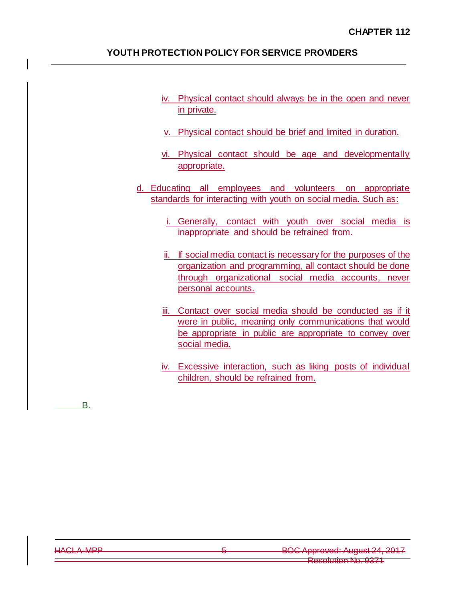- iv. Physical contact should always be in the open and never in private.
- v. Physical contact should be brief and limited in duration.
- vi. Physical contact should be age and developmentally appropriate.
- d. Educating all employees and volunteers on appropriate standards for interacting with youth on social media. Such as:
	- i. Generally, contact with youth over social media is inappropriate and should be refrained from.
	- ii. If social media contact is necessary for the purposes of the organization and programming, all contact should be done through organizational social media accounts, never personal accounts.
	- iii. Contact over social media should be conducted as if it were in public, meaning only communications that would be appropriate in public are appropriate to convey over social media.
	- iv. Excessive interaction, such as liking posts of individual children, should be refrained from.

B.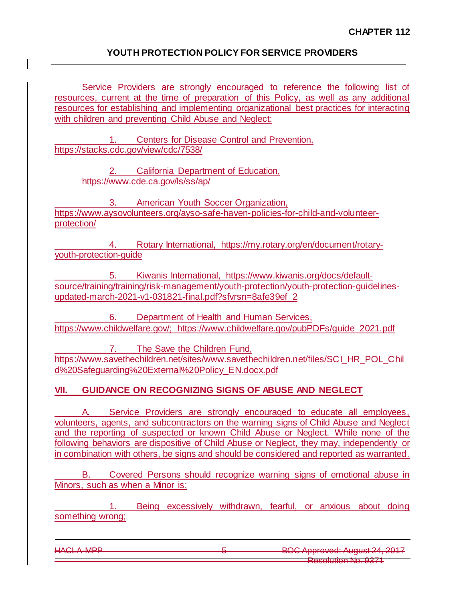Service Providers are strongly encouraged to reference the following list of resources, current at the time of preparation of this Policy, as well as any additional resources for establishing and implementing organizational best practices for interacting with children and preventing Child Abuse and Neglect:

1. Centers for Disease Control and Prevention, <https://stacks.cdc.gov/view/cdc/7538/>

> 2. California Department of Education, <https://www.cde.ca.gov/ls/ss/ap/>

3. American Youth Soccer Organization, [https://www.aysovolunteers.org/ayso-safe-haven-policies-for-child-and-volunteer](https://www.aysovolunteers.org/ayso-safe-haven-policies-for-child-and-volunteer-protection/)[protection/](https://www.aysovolunteers.org/ayso-safe-haven-policies-for-child-and-volunteer-protection/)

Rotary International, [https://my.rotary.org/en/document/rotary](https://my.rotary.org/en/document/rotary-youth-protection-guide)[youth-protection-guide](https://my.rotary.org/en/document/rotary-youth-protection-guide)

5. Kiwanis International, [https://www.kiwanis.org/docs/default](https://www.kiwanis.org/docs/default-source/training/training/risk-management/youth-protection/youth-protection-guidelines-updated-march-2021-v1-031821-final.pdf?sfvrsn=8afe39ef_2)[source/training/training/risk-management/youth-protection/youth-protection-guidelines](https://www.kiwanis.org/docs/default-source/training/training/risk-management/youth-protection/youth-protection-guidelines-updated-march-2021-v1-031821-final.pdf?sfvrsn=8afe39ef_2)[updated-march-2021-v1-031821-final.pdf?sfvrsn=8afe39ef\\_2](https://www.kiwanis.org/docs/default-source/training/training/risk-management/youth-protection/youth-protection-guidelines-updated-march-2021-v1-031821-final.pdf?sfvrsn=8afe39ef_2)

6. Department of Health and Human Services, [https://www.childwelfare.gov/;](https://www.childwelfare.gov/) [https://www.childwelfare.gov/pubPDFs/guide\\_2021.pdf](https://www.childwelfare.gov/pubPDFs/guide_2021.pdf)

7. The Save the Children Fund, [https://www.savethechildren.net/sites/www.savethechildren.net/files/SCI\\_HR\\_POL\\_Chil](https://www.savethechildren.net/sites/www.savethechildren.net/files/SCI_HR_POL_Child%20Safeguarding%20External%20Policy_EN.docx.pdf) [d%20Safeguarding%20External%20Policy\\_EN.docx.pdf](https://www.savethechildren.net/sites/www.savethechildren.net/files/SCI_HR_POL_Child%20Safeguarding%20External%20Policy_EN.docx.pdf)

# **VII. GUIDANCE ON RECOGNIZING SIGNS OF ABUSE AND NEGLECT**

A. Service Providers are strongly encouraged to educate all employees, volunteers, agents, and subcontractors on the warning signs of Child Abuse and Neglect and the reporting of suspected or known Child Abuse or Neglect. While none of the following behaviors are dispositive of Child Abuse or Neglect, they may, independently or in combination with others, be signs and should be considered and reported as warranted.

B. Covered Persons should recognize warning signs of emotional abuse in Minors, such as when a Minor is:

1. Being excessively withdrawn, fearful, or anxious about doing something wrong;

HACLA-MPP 6 BOC Approved: August 24, 2017 Resolution No. 9371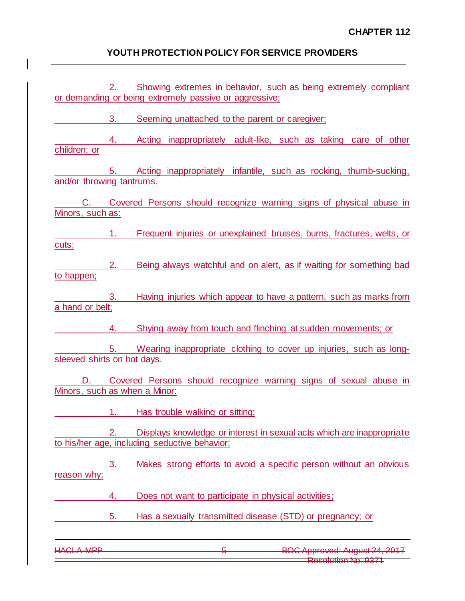$\mathsf I$ 

| C.<br>Minors, such as:              |    | Covered Persons should recognize warning signs of physical abuse in                                                    |
|-------------------------------------|----|------------------------------------------------------------------------------------------------------------------------|
| cuts;                               | 1. | Frequent injuries or unexplained bruises, burns, fractures, welts, or                                                  |
| to happen;                          | 2. | Being always watchful and on alert, as if waiting for something bad                                                    |
| a hand or belt;                     | 3. | Having injuries which appear to have a pattern, such as marks from                                                     |
|                                     | 4. | Shying away from touch and flinching at sudden movements; or                                                           |
| sleeved shirts on hot days.         | 5. | Wearing inappropriate clothing to cover up injuries, such as long-                                                     |
| D.<br>Minors, such as when a Minor: |    | Covered Persons should recognize warning signs of sexual abuse in                                                      |
|                                     | 1. | Has trouble walking or sitting;                                                                                        |
|                                     |    | Displays knowledge or interest in sexual acts which are inappropriate<br>to his/her age, including seductive behavior; |
| reason why;                         | 3. | Makes strong efforts to avoid a specific person without an obvious                                                     |
|                                     | 4. | Does not want to participate in physical activities;                                                                   |
|                                     | 5. | Has a sexually transmitted disease (STD) or pregnancy; or                                                              |
| CLA MPP                             |    |                                                                                                                        |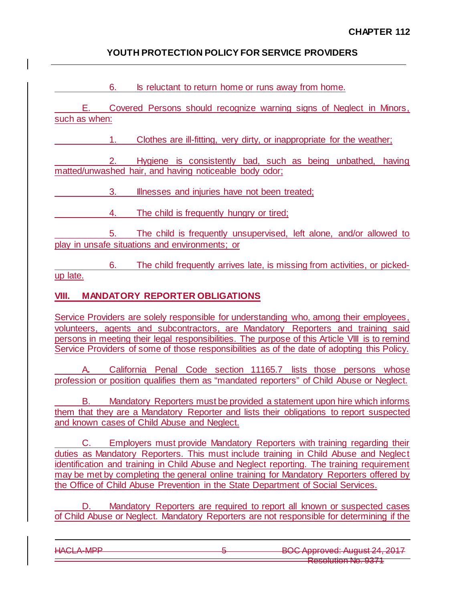6. Is reluctant to return home or runs away from home.

E. Covered Persons should recognize warning signs of Neglect in Minors, such as when:

1. Clothes are ill-fitting, very dirty, or inappropriate for the weather;

2. Hygiene is consistently bad, such as being unbathed, having matted/unwashed hair, and having noticeable body odor;

3. Illnesses and injuries have not been treated;

4. The child is frequently hungry or tired;

5. The child is frequently unsupervised, left alone, and/or allowed to play in unsafe situations and environments; or

6. The child frequently arrives late, is missing from activities, or pickedup late.

# **VIII. MANDATORY REPORTER OBLIGATIONS**

Service Providers are solely responsible for understanding who, among their employees, volunteers, agents and subcontractors, are Mandatory Reporters and training said persons in meeting their legal responsibilities. The purpose of this Article VIII is to remind Service Providers of some of those responsibilities as of the date of adopting this Policy.

A**.** California Penal Code section 11165.7 lists those persons whose profession or position qualifies them as "mandated reporters" of Child Abuse or Neglect.

B. Mandatory Reporters must be provided a statement upon hire which informs them that they are a Mandatory Reporter and lists their obligations to report suspected and known cases of Child Abuse and Neglect.

C. Employers must provide Mandatory Reporters with training regarding their duties as Mandatory Reporters. This must include training in Child Abuse and Neglect identification and training in Child Abuse and Neglect reporting. The training requirement may be met by completing the general online training for Mandatory Reporters offered by the Office of Child Abuse Prevention in the State Department of Social Services.

D. Mandatory Reporters are required to report all known or suspected cases of Child Abuse or Neglect. Mandatory Reporters are not responsible for determining if the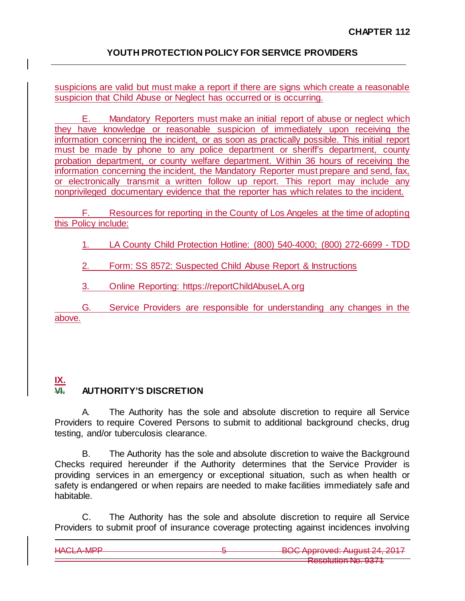suspicions are valid but must make a report if there are signs which create a reasonable suspicion that Child Abuse or Neglect has occurred or is occurring.

E. Mandatory Reporters must make an initial report of abuse or neglect which they have knowledge or reasonable suspicion of immediately upon receiving the information concerning the incident, or as soon as practically possible. This initial report must be made by phone to any police department or sheriff's department, county probation department, or county welfare department. Within 36 hours of receiving the information concerning the incident, the Mandatory Reporter must prepare and send, fax, or electronically transmit a written follow up report. This report may include any nonprivileged documentary evidence that the reporter has which relates to the incident.

F. Resources for reporting in the County of Los Angeles at the time of adopting this Policy include:

1. LA County Child Protection Hotline: (800) 540‐4000; (800) 272-6699 - TDD

2. Form: SS 8572: Suspected Child Abuse Report & Instructions

3. Online Reporting: [https://reportChildAbuseLA.org](https://reportchildabusela.org/)

G. Service Providers are responsible for understanding any changes in the above.

### **IX. VI. AUTHORITY'S DISCRETION**

A. The Authority has the sole and absolute discretion to require all Service Providers to require Covered Persons to submit to additional background checks, drug testing, and/or tuberculosis clearance.

B. The Authority has the sole and absolute discretion to waive the Background Checks required hereunder if the Authority determines that the Service Provider is providing services in an emergency or exceptional situation, such as when health or safety is endangered or when repairs are needed to make facilities immediately safe and habitable.

C. The Authority has the sole and absolute discretion to require all Service Providers to submit proof of insurance coverage protecting against incidences involving

| $L A \cap I$ $A$ $A$ $D$ $D$ | ROC Approved: August 24, 2017            |
|------------------------------|------------------------------------------|
| <u>LINOLIN IVILT</u>         | <del>POUT pprovou. August 27, 2017</del> |
|                              | $\sim$ $\sim$ $\sim$ $\sim$              |
|                              | <b>DARAHITIAN NIA 11271</b>              |
|                              | <b>INCORRENT IN . COLL</b>               |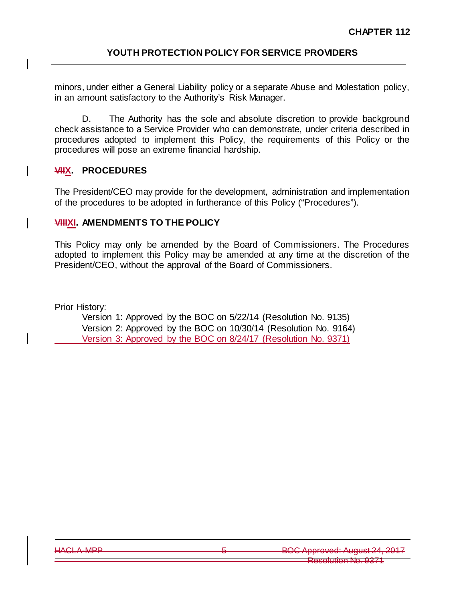minors, under either a General Liability policy or a separate Abuse and Molestation policy, in an amount satisfactory to the Authority's Risk Manager.

D. The Authority has the sole and absolute discretion to provide background check assistance to a Service Provider who can demonstrate, under criteria described in procedures adopted to implement this Policy, the requirements of this Policy or the procedures will pose an extreme financial hardship.

# **VIIX. PROCEDURES**

The President/CEO may provide for the development, administration and implementation of the procedures to be adopted in furtherance of this Policy ("Procedures").

### **VIIIXI. AMENDMENTS TO THE POLICY**

This Policy may only be amended by the Board of Commissioners. The Procedures adopted to implement this Policy may be amended at any time at the discretion of the President/CEO, without the approval of the Board of Commissioners.

Prior History:

Version 1: Approved by the BOC on 5/22/14 (Resolution No. 9135) Version 2: Approved by the BOC on 10/30/14 (Resolution No. 9164) Version 3: Approved by the BOC on 8/24/17 (Resolution No. 9371)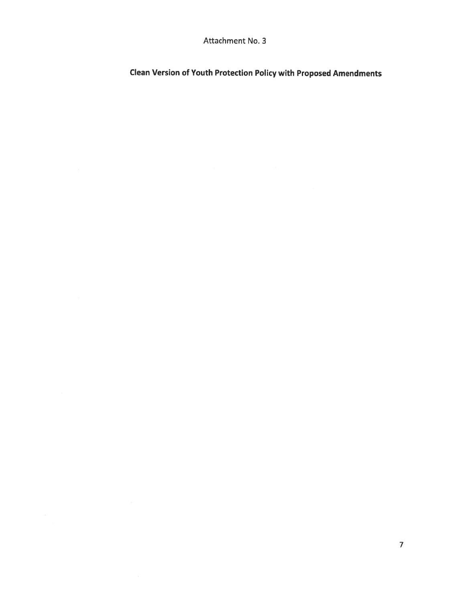Attachment No. 3

**Clean Version of Youth Protection Policy with Proposed Amendments**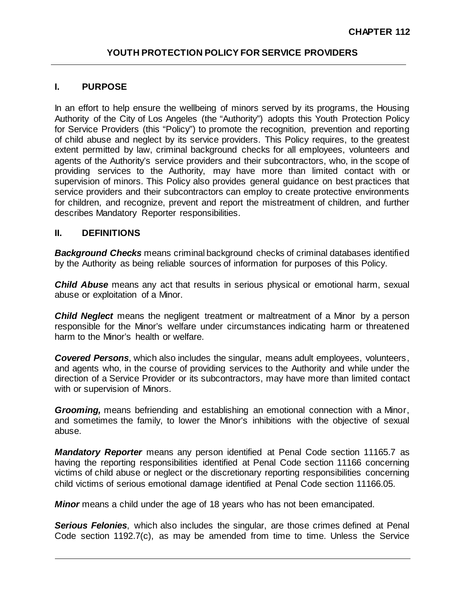# **I. PURPOSE**

In an effort to help ensure the wellbeing of minors served by its programs, the Housing Authority of the City of Los Angeles (the "Authority") adopts this Youth Protection Policy for Service Providers (this "Policy") to promote the recognition, prevention and reporting of child abuse and neglect by its service providers. This Policy requires, to the greatest extent permitted by law, criminal background checks for all employees, volunteers and agents of the Authority's service providers and their subcontractors, who, in the scope of providing services to the Authority, may have more than limited contact with or supervision of minors. This Policy also provides general guidance on best practices that service providers and their subcontractors can employ to create protective environments for children, and recognize, prevent and report the mistreatment of children, and further describes Mandatory Reporter responsibilities.

### **II. DEFINITIONS**

*Background Checks* means criminal background checks of criminal databases identified by the Authority as being reliable sources of information for purposes of this Policy.

*Child Abuse* means any act that results in serious physical or emotional harm, sexual abuse or exploitation of a Minor.

*Child Neglect* means the negligent treatment or maltreatment of a Minor by a person responsible for the Minor's welfare under circumstances indicating harm or threatened harm to the Minor's health or welfare.

*Covered Persons*, which also includes the singular, means adult employees, volunteers, and agents who, in the course of providing services to the Authority and while under the direction of a Service Provider or its subcontractors, may have more than limited contact with or supervision of Minors.

*Grooming,* means befriending and establishing an emotional connection with a Minor, and sometimes the family, to lower the Minor's inhibitions with the objective of sexual abuse.

*Mandatory Reporter* means any person identified at Penal Code section 11165.7 as having the reporting responsibilities identified at Penal Code section 11166 concerning victims of child abuse or neglect or the discretionary reporting responsibilities concerning child victims of serious emotional damage identified at Penal Code section 11166.05.

*Minor* means a child under the age of 18 years who has not been emancipated.

**Serious Felonies**, which also includes the singular, are those crimes defined at Penal Code section 1192.7(c), as may be amended from time to time. Unless the Service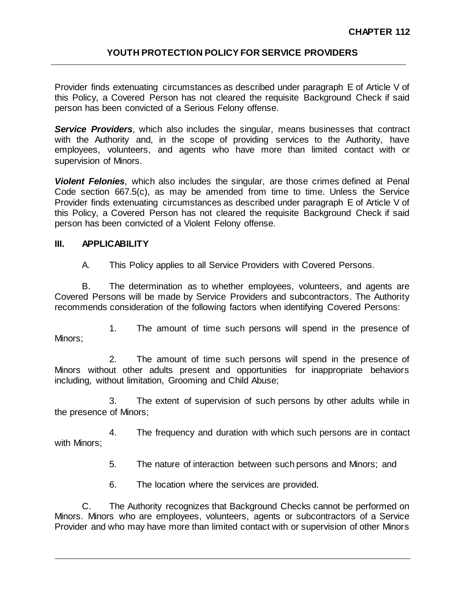Provider finds extenuating circumstances as described under paragraph E of Article V of this Policy, a Covered Person has not cleared the requisite Background Check if said person has been convicted of a Serious Felony offense.

*Service Providers*, which also includes the singular, means businesses that contract with the Authority and, in the scope of providing services to the Authority, have employees, volunteers, and agents who have more than limited contact with or supervision of Minors.

*Violent Felonies*, which also includes the singular, are those crimes defined at Penal Code section 667.5(c), as may be amended from time to time. Unless the Service Provider finds extenuating circumstances as described under paragraph E of Article V of this Policy, a Covered Person has not cleared the requisite Background Check if said person has been convicted of a Violent Felony offense.

### **III. APPLICABILITY**

A. This Policy applies to all Service Providers with Covered Persons.

B. The determination as to whether employees, volunteers, and agents are Covered Persons will be made by Service Providers and subcontractors. The Authority recommends consideration of the following factors when identifying Covered Persons:

1. The amount of time such persons will spend in the presence of Minors;

2. The amount of time such persons will spend in the presence of Minors without other adults present and opportunities for inappropriate behaviors including, without limitation, Grooming and Child Abuse;

3. The extent of supervision of such persons by other adults while in the presence of Minors;

4. The frequency and duration with which such persons are in contact with Minors;

5. The nature of interaction between such persons and Minors; and

6. The location where the services are provided.

C. The Authority recognizes that Background Checks cannot be performed on Minors. Minors who are employees, volunteers, agents or subcontractors of a Service Provider and who may have more than limited contact with or supervision of other Minors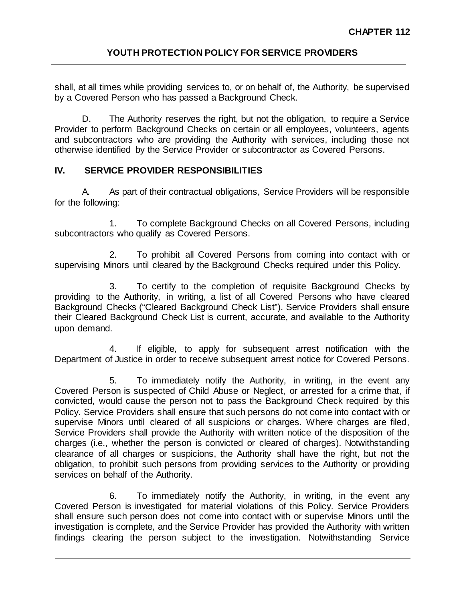shall, at all times while providing services to, or on behalf of, the Authority, be supervised by a Covered Person who has passed a Background Check.

D. The Authority reserves the right, but not the obligation, to require a Service Provider to perform Background Checks on certain or all employees, volunteers, agents and subcontractors who are providing the Authority with services, including those not otherwise identified by the Service Provider or subcontractor as Covered Persons.

# **IV. SERVICE PROVIDER RESPONSIBILITIES**

A. As part of their contractual obligations, Service Providers will be responsible for the following:

1. To complete Background Checks on all Covered Persons, including subcontractors who qualify as Covered Persons.

2. To prohibit all Covered Persons from coming into contact with or supervising Minors until cleared by the Background Checks required under this Policy.

3. To certify to the completion of requisite Background Checks by providing to the Authority, in writing, a list of all Covered Persons who have cleared Background Checks ("Cleared Background Check List"). Service Providers shall ensure their Cleared Background Check List is current, accurate, and available to the Authority upon demand.

4. If eligible, to apply for subsequent arrest notification with the Department of Justice in order to receive subsequent arrest notice for Covered Persons.

5. To immediately notify the Authority, in writing, in the event any Covered Person is suspected of Child Abuse or Neglect, or arrested for a crime that, if convicted, would cause the person not to pass the Background Check required by this Policy. Service Providers shall ensure that such persons do not come into contact with or supervise Minors until cleared of all suspicions or charges. Where charges are filed, Service Providers shall provide the Authority with written notice of the disposition of the charges (i.e., whether the person is convicted or cleared of charges). Notwithstanding clearance of all charges or suspicions, the Authority shall have the right, but not the obligation, to prohibit such persons from providing services to the Authority or providing services on behalf of the Authority.

6. To immediately notify the Authority, in writing, in the event any Covered Person is investigated for material violations of this Policy. Service Providers shall ensure such person does not come into contact with or supervise Minors until the investigation is complete, and the Service Provider has provided the Authority with written findings clearing the person subject to the investigation. Notwithstanding Service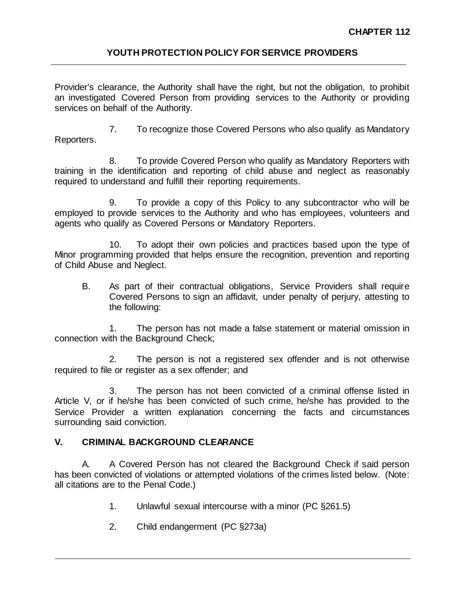Provider's clearance, the Authority shall have the right, but not the obligation, to prohibit an investigated Covered Person from providing services to the Authority or providing services on behalf of the Authority.

7. To recognize those Covered Persons who also qualify as Mandatory Reporters.

8. To provide Covered Person who qualify as Mandatory Reporters with training in the identification and reporting of child abuse and neglect as reasonably required to understand and fulfill their reporting requirements.

9. To provide a copy of this Policy to any subcontractor who will be employed to provide services to the Authority and who has employees, volunteers and agents who qualify as Covered Persons or Mandatory Reporters.

10. To adopt their own policies and practices based upon the type of Minor programming provided that helps ensure the recognition, prevention and reporting of Child Abuse and Neglect.

B. As part of their contractual obligations, Service Providers shall require Covered Persons to sign an affidavit, under penalty of perjury, attesting to the following:

1. The person has not made a false statement or material omission in connection with the Background Check;

2. The person is not a registered sex offender and is not otherwise required to file or register as a sex offender; and

3. The person has not been convicted of a criminal offense listed in Article V, or if he/she has been convicted of such crime, he/she has provided to the Service Provider a written explanation concerning the facts and circumstances surrounding said conviction.

# **V. CRIMINAL BACKGROUND CLEARANCE**

A. A Covered Person has not cleared the Background Check if said person has been convicted of violations or attempted violations of the crimes listed below. (Note: all citations are to the Penal Code.)

- 1. Unlawful sexual intercourse with a minor (PC §261.5)
- 2. Child endangerment (PC §273a)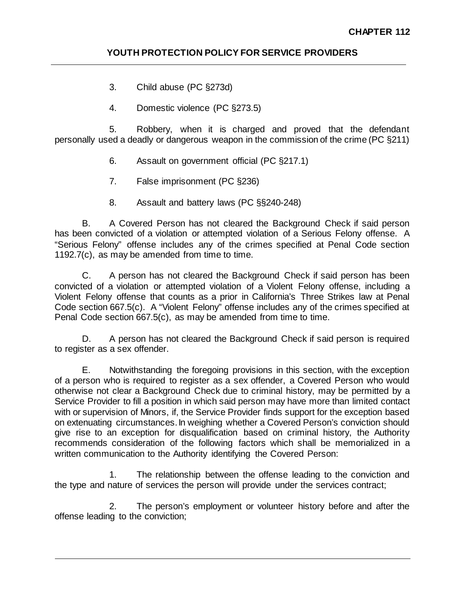- 3. Child abuse (PC §273d)
- 4. Domestic violence (PC §273.5)

5. Robbery, when it is charged and proved that the defendant personally used a deadly or dangerous weapon in the commission of the crime (PC §211)

- 6. Assault on government official (PC §217.1)
- 7. False imprisonment (PC §236)
- 8. Assault and battery laws (PC §§240-248)

B. A Covered Person has not cleared the Background Check if said person has been convicted of a violation or attempted violation of a Serious Felony offense. A "Serious Felony" offense includes any of the crimes specified at Penal Code section 1192.7(c), as may be amended from time to time.

C. A person has not cleared the Background Check if said person has been convicted of a violation or attempted violation of a Violent Felony offense, including a Violent Felony offense that counts as a prior in California's Three Strikes law at Penal Code section 667.5(c). A "Violent Felony" offense includes any of the crimes specified at Penal Code section 667.5(c), as may be amended from time to time.

D. A person has not cleared the Background Check if said person is required to register as a sex offender.

E. Notwithstanding the foregoing provisions in this section, with the exception of a person who is required to register as a sex offender, a Covered Person who would otherwise not clear a Background Check due to criminal history, may be permitted by a Service Provider to fill a position in which said person may have more than limited contact with or supervision of Minors, if, the Service Provider finds support for the exception based on extenuating circumstances. In weighing whether a Covered Person's conviction should give rise to an exception for disqualification based on criminal history, the Authority recommends consideration of the following factors which shall be memorialized in a written communication to the Authority identifying the Covered Person:

1. The relationship between the offense leading to the conviction and the type and nature of services the person will provide under the services contract;

2. The person's employment or volunteer history before and after the offense leading to the conviction;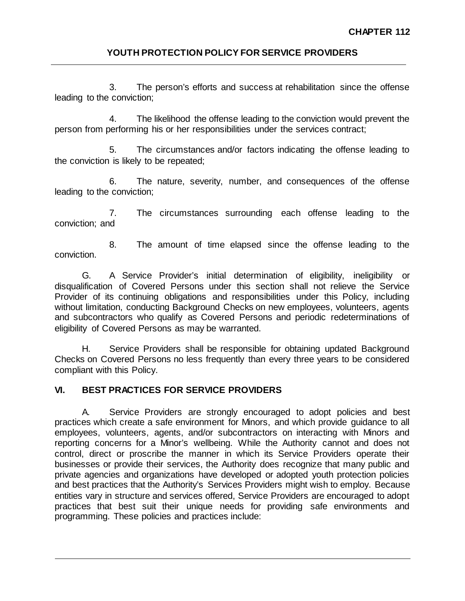3. The person's efforts and success at rehabilitation since the offense leading to the conviction;

4. The likelihood the offense leading to the conviction would prevent the person from performing his or her responsibilities under the services contract;

5. The circumstances and/or factors indicating the offense leading to the conviction is likely to be repeated;

6. The nature, severity, number, and consequences of the offense leading to the conviction;

7. The circumstances surrounding each offense leading to the conviction; and

8. The amount of time elapsed since the offense leading to the conviction.

G. A Service Provider's initial determination of eligibility, ineligibility or disqualification of Covered Persons under this section shall not relieve the Service Provider of its continuing obligations and responsibilities under this Policy, including without limitation, conducting Background Checks on new employees, volunteers, agents and subcontractors who qualify as Covered Persons and periodic redeterminations of eligibility of Covered Persons as may be warranted.

H. Service Providers shall be responsible for obtaining updated Background Checks on Covered Persons no less frequently than every three years to be considered compliant with this Policy.

# **VI. BEST PRACTICES FOR SERVICE PROVIDERS**

A. Service Providers are strongly encouraged to adopt policies and best practices which create a safe environment for Minors, and which provide guidance to all employees, volunteers, agents, and/or subcontractors on interacting with Minors and reporting concerns for a Minor's wellbeing. While the Authority cannot and does not control, direct or proscribe the manner in which its Service Providers operate their businesses or provide their services, the Authority does recognize that many public and private agencies and organizations have developed or adopted youth protection policies and best practices that the Authority's Services Providers might wish to employ. Because entities vary in structure and services offered, Service Providers are encouraged to adopt practices that best suit their unique needs for providing safe environments and programming. These policies and practices include: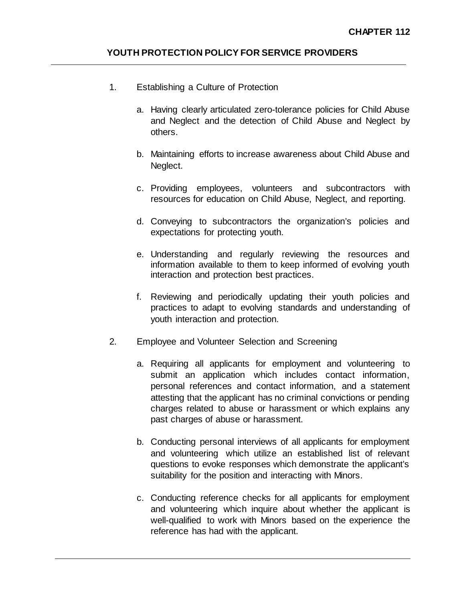- 1. Establishing a Culture of Protection
	- a. Having clearly articulated zero-tolerance policies for Child Abuse and Neglect and the detection of Child Abuse and Neglect by others.
	- b. Maintaining efforts to increase awareness about Child Abuse and Neglect.
	- c. Providing employees, volunteers and subcontractors with resources for education on Child Abuse, Neglect, and reporting.
	- d. Conveying to subcontractors the organization's policies and expectations for protecting youth.
	- e. Understanding and regularly reviewing the resources and information available to them to keep informed of evolving youth interaction and protection best practices.
	- f. Reviewing and periodically updating their youth policies and practices to adapt to evolving standards and understanding of youth interaction and protection.
- 2. Employee and Volunteer Selection and Screening
	- a. Requiring all applicants for employment and volunteering to submit an application which includes contact information, personal references and contact information, and a statement attesting that the applicant has no criminal convictions or pending charges related to abuse or harassment or which explains any past charges of abuse or harassment.
	- b. Conducting personal interviews of all applicants for employment and volunteering which utilize an established list of relevant questions to evoke responses which demonstrate the applicant's suitability for the position and interacting with Minors.
	- c. Conducting reference checks for all applicants for employment and volunteering which inquire about whether the applicant is well-qualified to work with Minors based on the experience the reference has had with the applicant.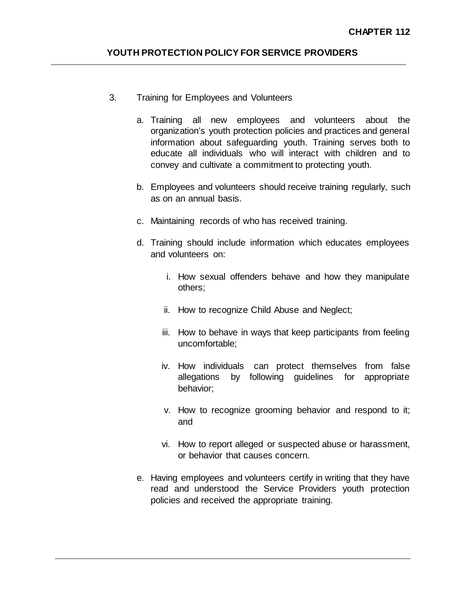- 3. Training for Employees and Volunteers
	- a. Training all new employees and volunteers about the organization's youth protection policies and practices and general information about safeguarding youth. Training serves both to educate all individuals who will interact with children and to convey and cultivate a commitment to protecting youth.
	- b. Employees and volunteers should receive training regularly, such as on an annual basis.
	- c. Maintaining records of who has received training.
	- d. Training should include information which educates employees and volunteers on:
		- i. How sexual offenders behave and how they manipulate others;
		- ii. How to recognize Child Abuse and Neglect;
		- iii. How to behave in ways that keep participants from feeling uncomfortable;
		- iv. How individuals can protect themselves from false allegations by following guidelines for appropriate behavior;
		- v. How to recognize grooming behavior and respond to it; and
		- vi. How to report alleged or suspected abuse or harassment, or behavior that causes concern.
	- e. Having employees and volunteers certify in writing that they have read and understood the Service Providers youth protection policies and received the appropriate training.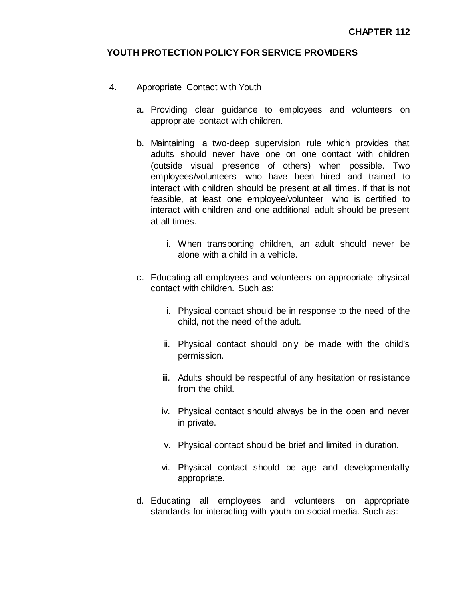- 4. Appropriate Contact with Youth
	- a. Providing clear guidance to employees and volunteers on appropriate contact with children.
	- b. Maintaining a two-deep supervision rule which provides that adults should never have one on one contact with children (outside visual presence of others) when possible. Two employees/volunteers who have been hired and trained to interact with children should be present at all times. If that is not feasible, at least one employee/volunteer who is certified to interact with children and one additional adult should be present at all times.
		- i. When transporting children, an adult should never be alone with a child in a vehicle.
	- c. Educating all employees and volunteers on appropriate physical contact with children. Such as:
		- i. Physical contact should be in response to the need of the child, not the need of the adult.
		- ii. Physical contact should only be made with the child's permission.
		- iii. Adults should be respectful of any hesitation or resistance from the child.
		- iv. Physical contact should always be in the open and never in private.
		- v. Physical contact should be brief and limited in duration.
		- vi. Physical contact should be age and developmentally appropriate.
	- d. Educating all employees and volunteers on appropriate standards for interacting with youth on social media. Such as: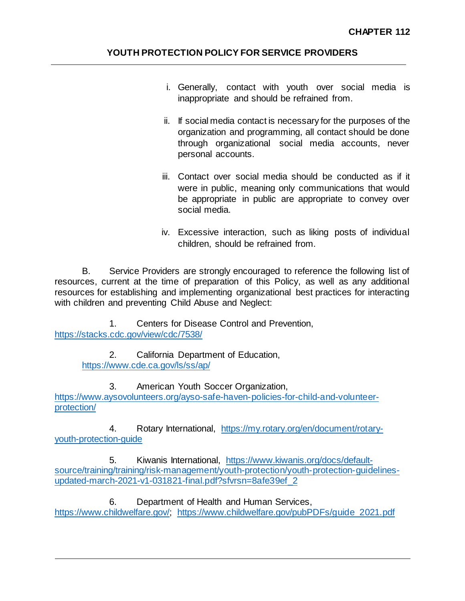- i. Generally, contact with youth over social media is inappropriate and should be refrained from.
- ii. If social media contact is necessary for the purposes of the organization and programming, all contact should be done through organizational social media accounts, never personal accounts.
- iii. Contact over social media should be conducted as if it were in public, meaning only communications that would be appropriate in public are appropriate to convey over social media.
- iv. Excessive interaction, such as liking posts of individual children, should be refrained from.

B. Service Providers are strongly encouraged to reference the following list of resources, current at the time of preparation of this Policy, as well as any additional resources for establishing and implementing organizational best practices for interacting with children and preventing Child Abuse and Neglect:

1. Centers for Disease Control and Prevention, <https://stacks.cdc.gov/view/cdc/7538/>

> 2. California Department of Education, <https://www.cde.ca.gov/ls/ss/ap/>

3. American Youth Soccer Organization, [https://www.aysovolunteers.org/ayso-safe-haven-policies-for-child-and-volunteer](https://www.aysovolunteers.org/ayso-safe-haven-policies-for-child-and-volunteer-protection/)[protection/](https://www.aysovolunteers.org/ayso-safe-haven-policies-for-child-and-volunteer-protection/)

4. Rotary International, [https://my.rotary.org/en/document/rotary](https://my.rotary.org/en/document/rotary-youth-protection-guide)[youth-protection-guide](https://my.rotary.org/en/document/rotary-youth-protection-guide)

5. Kiwanis International, [https://www.kiwanis.org/docs/default](https://www.kiwanis.org/docs/default-source/training/training/risk-management/youth-protection/youth-protection-guidelines-updated-march-2021-v1-031821-final.pdf?sfvrsn=8afe39ef_2)[source/training/training/risk-management/youth-protection/youth-protection-guidelines](https://www.kiwanis.org/docs/default-source/training/training/risk-management/youth-protection/youth-protection-guidelines-updated-march-2021-v1-031821-final.pdf?sfvrsn=8afe39ef_2)[updated-march-2021-v1-031821-final.pdf?sfvrsn=8afe39ef\\_2](https://www.kiwanis.org/docs/default-source/training/training/risk-management/youth-protection/youth-protection-guidelines-updated-march-2021-v1-031821-final.pdf?sfvrsn=8afe39ef_2)

6. Department of Health and Human Services,

[https://www.childwelfare.gov/;](https://www.childwelfare.gov/) [https://www.childwelfare.gov/pubPDFs/guide\\_2021.pdf](https://www.childwelfare.gov/pubPDFs/guide_2021.pdf)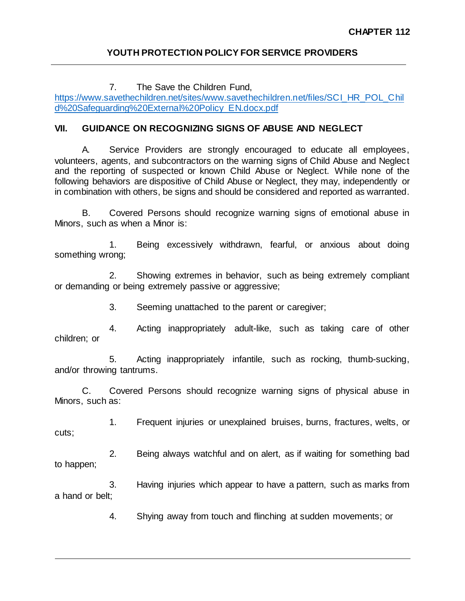7. The Save the Children Fund, [https://www.savethechildren.net/sites/www.savethechildren.net/files/SCI\\_HR\\_POL\\_Chil](https://www.savethechildren.net/sites/www.savethechildren.net/files/SCI_HR_POL_Child%20Safeguarding%20External%20Policy_EN.docx.pdf) [d%20Safeguarding%20External%20Policy\\_EN.docx.pdf](https://www.savethechildren.net/sites/www.savethechildren.net/files/SCI_HR_POL_Child%20Safeguarding%20External%20Policy_EN.docx.pdf)

# **VII. GUIDANCE ON RECOGNIZING SIGNS OF ABUSE AND NEGLECT**

A. Service Providers are strongly encouraged to educate all employees, volunteers, agents, and subcontractors on the warning signs of Child Abuse and Neglect and the reporting of suspected or known Child Abuse or Neglect. While none of the following behaviors are dispositive of Child Abuse or Neglect, they may, independently or in combination with others, be signs and should be considered and reported as warranted.

B. Covered Persons should recognize warning signs of emotional abuse in Minors, such as when a Minor is:

1. Being excessively withdrawn, fearful, or anxious about doing something wrong;

2. Showing extremes in behavior, such as being extremely compliant or demanding or being extremely passive or aggressive;

3. Seeming unattached to the parent or caregiver;

4. Acting inappropriately adult-like, such as taking care of other children; or

5. Acting inappropriately infantile, such as rocking, thumb-sucking, and/or throwing tantrums.

C. Covered Persons should recognize warning signs of physical abuse in Minors, such as:

1. Frequent injuries or unexplained bruises, burns, fractures, welts, or cuts;

2. Being always watchful and on alert, as if waiting for something bad to happen;

3. Having injuries which appear to have a pattern, such as marks from a hand or belt;

4. Shying away from touch and flinching at sudden movements; or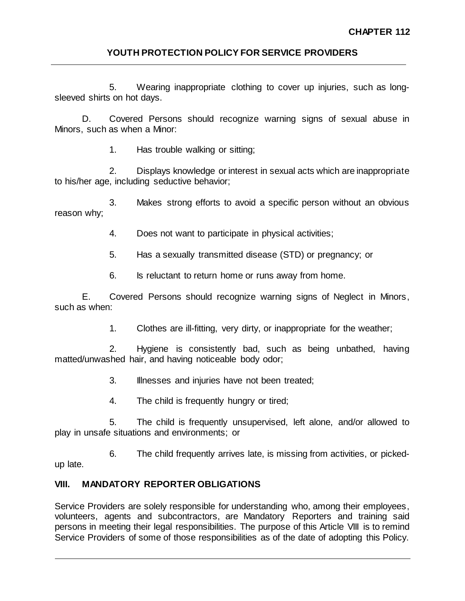5. Wearing inappropriate clothing to cover up injuries, such as longsleeved shirts on hot days.

D. Covered Persons should recognize warning signs of sexual abuse in Minors, such as when a Minor:

1. Has trouble walking or sitting;

2. Displays knowledge or interest in sexual acts which are inappropriate to his/her age, including seductive behavior;

3. Makes strong efforts to avoid a specific person without an obvious reason why;

4. Does not want to participate in physical activities;

- 5. Has a sexually transmitted disease (STD) or pregnancy; or
- 6. Is reluctant to return home or runs away from home.

E. Covered Persons should recognize warning signs of Neglect in Minors, such as when:

1. Clothes are ill-fitting, very dirty, or inappropriate for the weather;

2. Hygiene is consistently bad, such as being unbathed, having matted/unwashed hair, and having noticeable body odor;

- 3. Illnesses and injuries have not been treated;
- 4. The child is frequently hungry or tired;

5. The child is frequently unsupervised, left alone, and/or allowed to play in unsafe situations and environments; or

6. The child frequently arrives late, is missing from activities, or pickedup late.

# **VIII. MANDATORY REPORTER OBLIGATIONS**

Service Providers are solely responsible for understanding who, among their employees, volunteers, agents and subcontractors, are Mandatory Reporters and training said persons in meeting their legal responsibilities. The purpose of this Article VIII is to remind Service Providers of some of those responsibilities as of the date of adopting this Policy.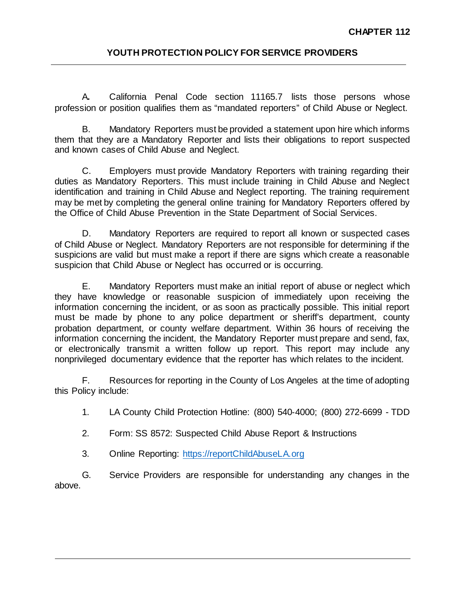A**.** California Penal Code section 11165.7 lists those persons whose profession or position qualifies them as "mandated reporters" of Child Abuse or Neglect.

B. Mandatory Reporters must be provided a statement upon hire which informs them that they are a Mandatory Reporter and lists their obligations to report suspected and known cases of Child Abuse and Neglect.

C. Employers must provide Mandatory Reporters with training regarding their duties as Mandatory Reporters. This must include training in Child Abuse and Neglect identification and training in Child Abuse and Neglect reporting. The training requirement may be met by completing the general online training for Mandatory Reporters offered by the Office of Child Abuse Prevention in the State Department of Social Services.

D. Mandatory Reporters are required to report all known or suspected cases of Child Abuse or Neglect. Mandatory Reporters are not responsible for determining if the suspicions are valid but must make a report if there are signs which create a reasonable suspicion that Child Abuse or Neglect has occurred or is occurring.

E. Mandatory Reporters must make an initial report of abuse or neglect which they have knowledge or reasonable suspicion of immediately upon receiving the information concerning the incident, or as soon as practically possible. This initial report must be made by phone to any police department or sheriff's department, county probation department, or county welfare department. Within 36 hours of receiving the information concerning the incident, the Mandatory Reporter must prepare and send, fax, or electronically transmit a written follow up report. This report may include any nonprivileged documentary evidence that the reporter has which relates to the incident.

F. Resources for reporting in the County of Los Angeles at the time of adopting this Policy include:

1. LA County Child Protection Hotline: (800) 540‐4000; (800) 272-6699 - TDD

- 2. Form: SS 8572: Suspected Child Abuse Report & Instructions
- 3. Online Reporting: [https://reportChildAbuseLA.org](https://reportchildabusela.org/)

G. Service Providers are responsible for understanding any changes in the above.